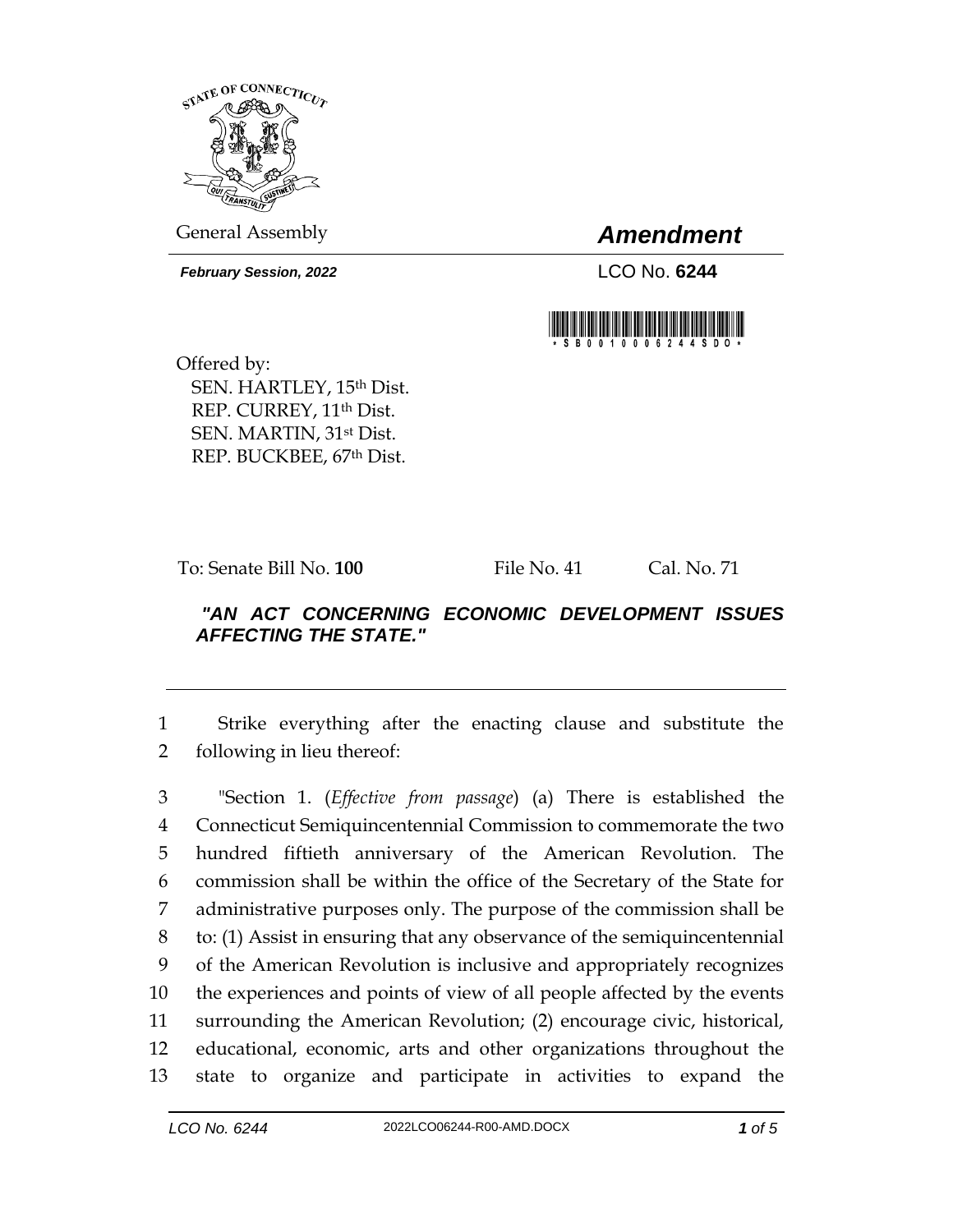

General Assembly *Amendment*

*February Session, 2022* LCO No. **6244**



Offered by: SEN. HARTLEY, 15th Dist. REP. CURREY, 11<sup>th</sup> Dist. SEN. MARTIN, 31st Dist. REP. BUCKBEE, 67th Dist.

To: Senate Bill No. **100** File No. 41 Cal. No. 71

## *"AN ACT CONCERNING ECONOMIC DEVELOPMENT ISSUES AFFECTING THE STATE."*

1 Strike everything after the enacting clause and substitute the 2 following in lieu thereof:

 "Section 1. (*Effective from passage*) (a) There is established the Connecticut Semiquincentennial Commission to commemorate the two hundred fiftieth anniversary of the American Revolution. The commission shall be within the office of the Secretary of the State for administrative purposes only. The purpose of the commission shall be to: (1) Assist in ensuring that any observance of the semiquincentennial of the American Revolution is inclusive and appropriately recognizes the experiences and points of view of all people affected by the events surrounding the American Revolution; (2) encourage civic, historical, educational, economic, arts and other organizations throughout the state to organize and participate in activities to expand the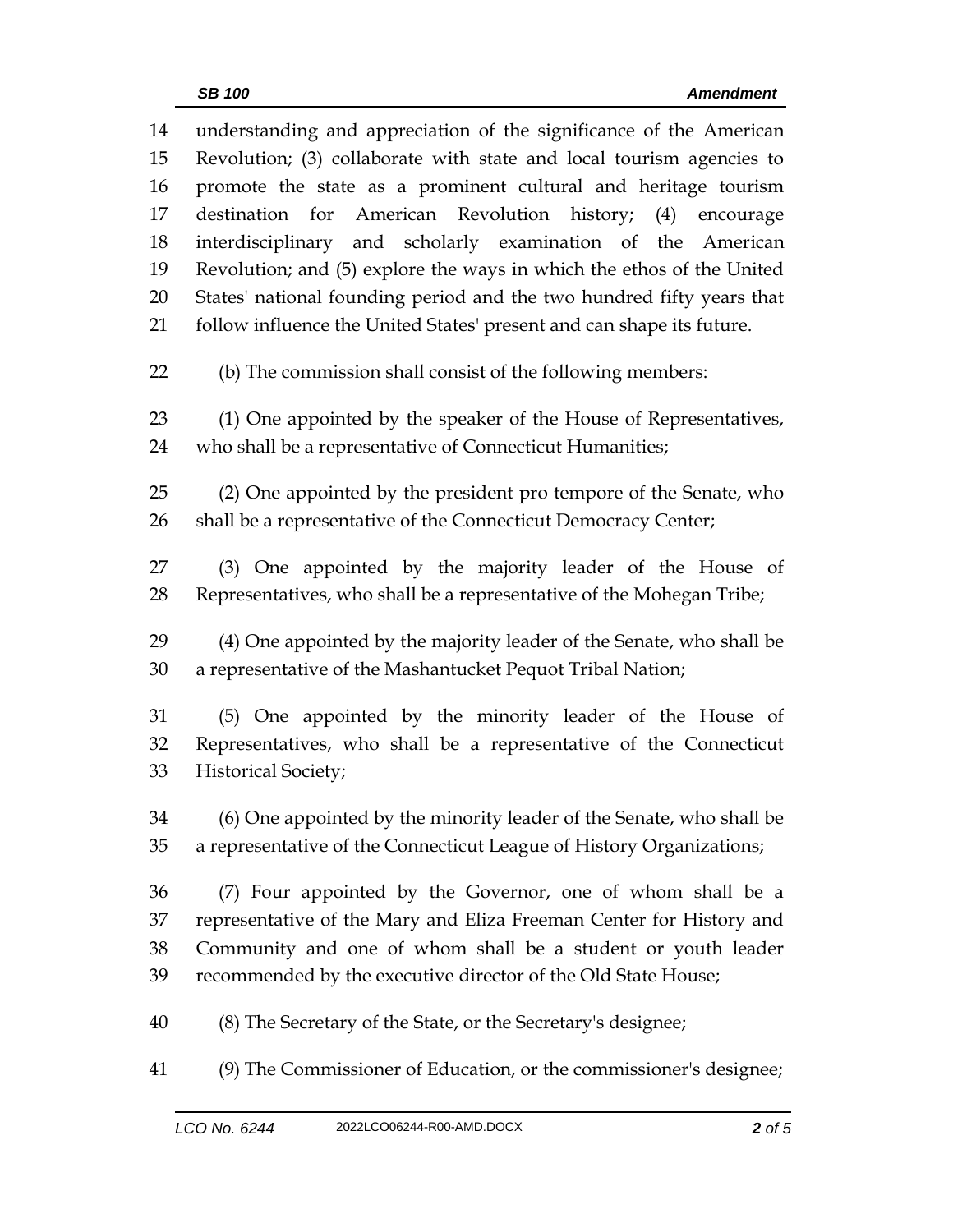| 14 | understanding and appreciation of the significance of the American    |  |  |
|----|-----------------------------------------------------------------------|--|--|
| 15 | Revolution; (3) collaborate with state and local tourism agencies to  |  |  |
| 16 | promote the state as a prominent cultural and heritage tourism        |  |  |
| 17 | destination for American Revolution history; (4)<br>encourage         |  |  |
| 18 | interdisciplinary and scholarly examination of the American           |  |  |
| 19 | Revolution; and (5) explore the ways in which the ethos of the United |  |  |
| 20 | States' national founding period and the two hundred fifty years that |  |  |
| 21 | follow influence the United States' present and can shape its future. |  |  |
| 22 | (b) The commission shall consist of the following members:            |  |  |
| 23 | (1) One appointed by the speaker of the House of Representatives,     |  |  |
| 24 | who shall be a representative of Connecticut Humanities;              |  |  |
|    |                                                                       |  |  |
| 25 | (2) One appointed by the president pro tempore of the Senate, who     |  |  |
| 26 | shall be a representative of the Connecticut Democracy Center;        |  |  |
| 27 | (3) One appointed by the majority leader of the House of              |  |  |
| 28 | Representatives, who shall be a representative of the Mohegan Tribe;  |  |  |
|    |                                                                       |  |  |
| 29 | (4) One appointed by the majority leader of the Senate, who shall be  |  |  |
| 30 | a representative of the Mashantucket Pequot Tribal Nation;            |  |  |
| 31 | (5) One appointed by the minority leader of the House of              |  |  |
| 32 | Representatives, who shall be a representative of the Connecticut     |  |  |
| 33 | <b>Historical Society;</b>                                            |  |  |
|    |                                                                       |  |  |
| 34 | (6) One appointed by the minority leader of the Senate, who shall be  |  |  |
| 35 | a representative of the Connecticut League of History Organizations;  |  |  |
| 36 | (7) Four appointed by the Governor, one of whom shall be a            |  |  |
| 37 | representative of the Mary and Eliza Freeman Center for History and   |  |  |
| 38 | Community and one of whom shall be a student or youth leader          |  |  |
| 39 | recommended by the executive director of the Old State House;         |  |  |
| 40 | (8) The Secretary of the State, or the Secretary's designee;          |  |  |
| 41 | (9) The Commissioner of Education, or the commissioner's designee;    |  |  |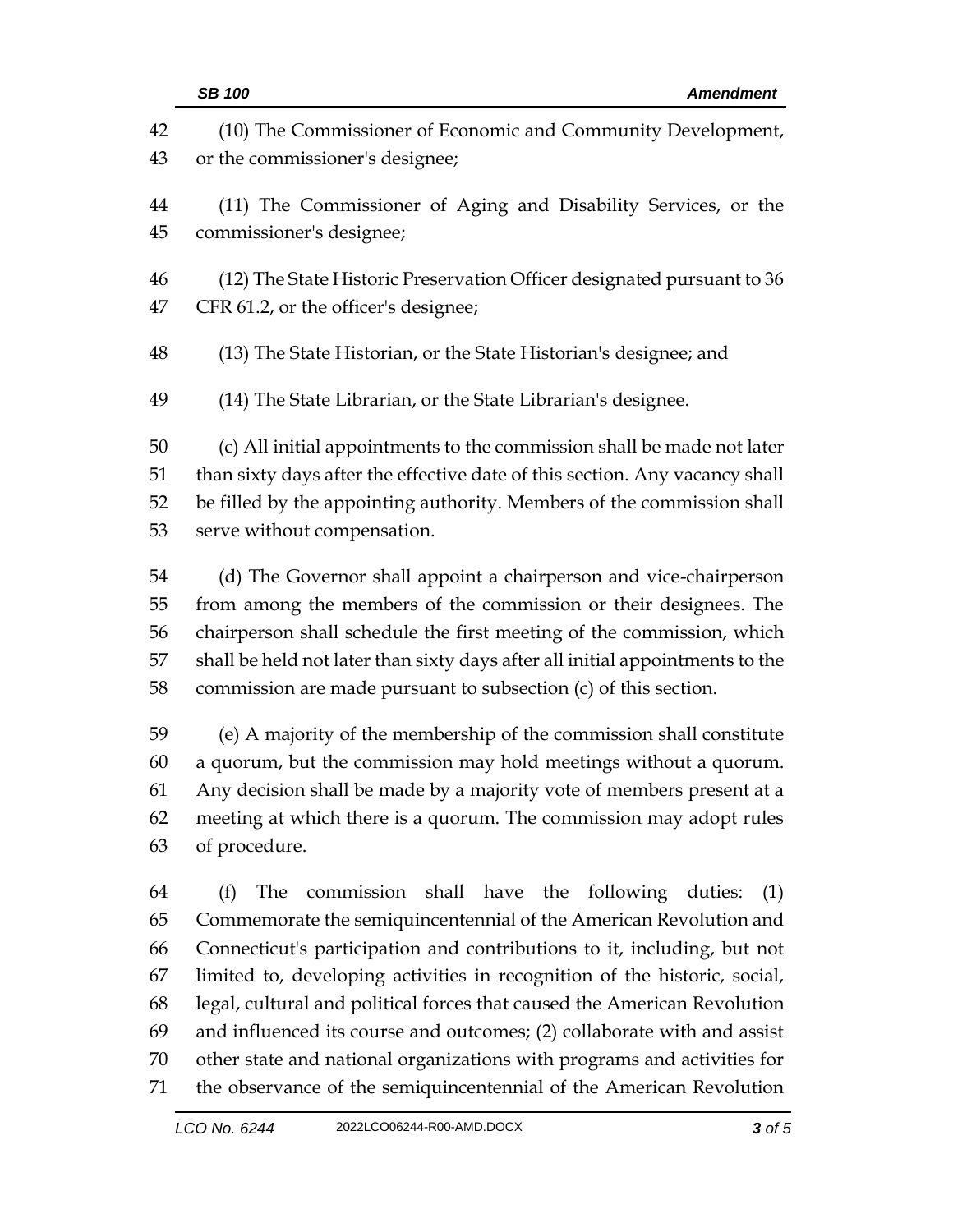|                            | <b>SB 100</b><br><b>Amendment</b>                                                                                                                                                                                                                                                                                                                                         |  |  |
|----------------------------|---------------------------------------------------------------------------------------------------------------------------------------------------------------------------------------------------------------------------------------------------------------------------------------------------------------------------------------------------------------------------|--|--|
| 42                         | (10) The Commissioner of Economic and Community Development,                                                                                                                                                                                                                                                                                                              |  |  |
| 43                         | or the commissioner's designee;                                                                                                                                                                                                                                                                                                                                           |  |  |
| 44                         | (11) The Commissioner of Aging and Disability Services, or the                                                                                                                                                                                                                                                                                                            |  |  |
| 45                         | commissioner's designee;                                                                                                                                                                                                                                                                                                                                                  |  |  |
| 46                         | (12) The State Historic Preservation Officer designated pursuant to 36                                                                                                                                                                                                                                                                                                    |  |  |
| 47                         | CFR 61.2, or the officer's designee;                                                                                                                                                                                                                                                                                                                                      |  |  |
| 48                         | (13) The State Historian, or the State Historian's designee; and                                                                                                                                                                                                                                                                                                          |  |  |
| 49                         | (14) The State Librarian, or the State Librarian's designee.                                                                                                                                                                                                                                                                                                              |  |  |
| 50                         | (c) All initial appointments to the commission shall be made not later                                                                                                                                                                                                                                                                                                    |  |  |
| 51                         | than sixty days after the effective date of this section. Any vacancy shall                                                                                                                                                                                                                                                                                               |  |  |
| 52                         | be filled by the appointing authority. Members of the commission shall                                                                                                                                                                                                                                                                                                    |  |  |
| 53                         | serve without compensation.                                                                                                                                                                                                                                                                                                                                               |  |  |
| 54                         | (d) The Governor shall appoint a chairperson and vice-chairperson                                                                                                                                                                                                                                                                                                         |  |  |
| 55                         | from among the members of the commission or their designees. The                                                                                                                                                                                                                                                                                                          |  |  |
| 56                         | chairperson shall schedule the first meeting of the commission, which                                                                                                                                                                                                                                                                                                     |  |  |
| 57                         | shall be held not later than sixty days after all initial appointments to the                                                                                                                                                                                                                                                                                             |  |  |
| 58                         | commission are made pursuant to subsection $(c)$ of this section.                                                                                                                                                                                                                                                                                                         |  |  |
| 59                         | (e) A majority of the membership of the commission shall constitute                                                                                                                                                                                                                                                                                                       |  |  |
| 60                         | a quorum, but the commission may hold meetings without a quorum.                                                                                                                                                                                                                                                                                                          |  |  |
| 61                         | Any decision shall be made by a majority vote of members present at a                                                                                                                                                                                                                                                                                                     |  |  |
| 62                         | meeting at which there is a quorum. The commission may adopt rules                                                                                                                                                                                                                                                                                                        |  |  |
| 63                         | of procedure.                                                                                                                                                                                                                                                                                                                                                             |  |  |
| 64<br>65<br>66<br>67<br>68 | commission shall have the following duties:<br>(f)<br>The<br>(1)<br>Commemorate the semiquincentennial of the American Revolution and<br>Connecticut's participation and contributions to it, including, but not<br>limited to, developing activities in recognition of the historic, social,<br>legal, cultural and political forces that caused the American Revolution |  |  |
| 69                         | and influenced its course and outcomes; (2) collaborate with and assist                                                                                                                                                                                                                                                                                                   |  |  |
| 70                         | other state and national organizations with programs and activities for                                                                                                                                                                                                                                                                                                   |  |  |
| 71                         | the observance of the semiquincentennial of the American Revolution                                                                                                                                                                                                                                                                                                       |  |  |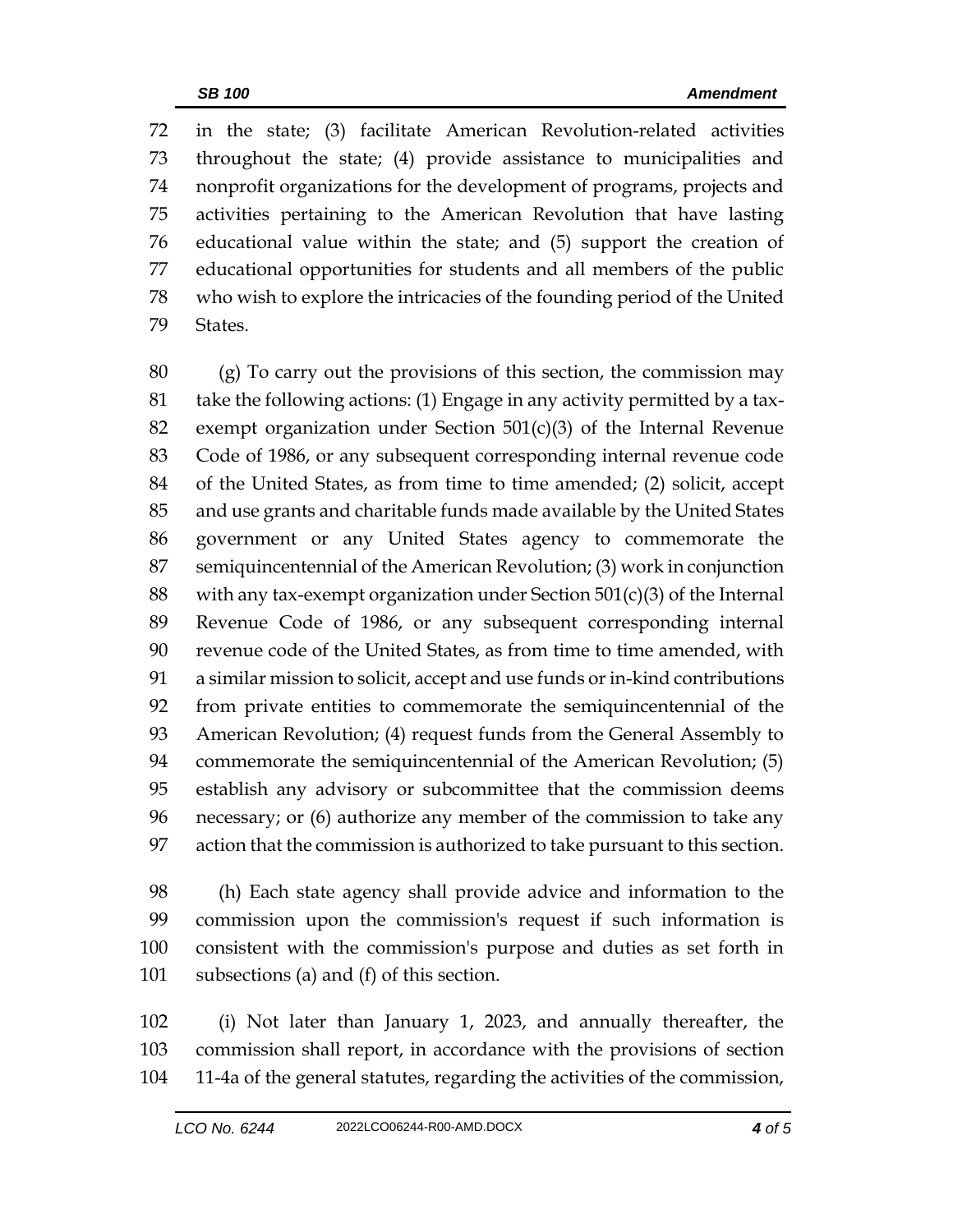in the state; (3) facilitate American Revolution-related activities throughout the state; (4) provide assistance to municipalities and nonprofit organizations for the development of programs, projects and activities pertaining to the American Revolution that have lasting educational value within the state; and (5) support the creation of educational opportunities for students and all members of the public who wish to explore the intricacies of the founding period of the United States.

 (g) To carry out the provisions of this section, the commission may take the following actions: (1) Engage in any activity permitted by a tax- exempt organization under Section 501(c)(3) of the Internal Revenue Code of 1986, or any subsequent corresponding internal revenue code of the United States, as from time to time amended; (2) solicit, accept and use grants and charitable funds made available by the United States government or any United States agency to commemorate the semiquincentennial of the American Revolution; (3) work in conjunction 88 with any tax-exempt organization under Section  $501(c)(3)$  of the Internal Revenue Code of 1986, or any subsequent corresponding internal revenue code of the United States, as from time to time amended, with a similar mission to solicit, accept and use funds or in-kind contributions from private entities to commemorate the semiquincentennial of the American Revolution; (4) request funds from the General Assembly to commemorate the semiquincentennial of the American Revolution; (5) establish any advisory or subcommittee that the commission deems necessary; or (6) authorize any member of the commission to take any action that the commission is authorized to take pursuant to this section.

 (h) Each state agency shall provide advice and information to the commission upon the commission's request if such information is consistent with the commission's purpose and duties as set forth in subsections (a) and (f) of this section.

 (i) Not later than January 1, 2023, and annually thereafter, the commission shall report, in accordance with the provisions of section 11-4a of the general statutes, regarding the activities of the commission,